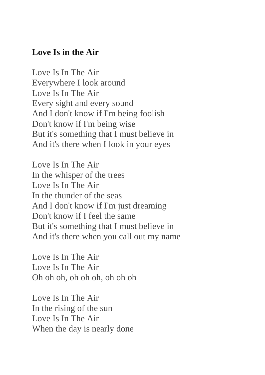## **Love Is in the Air**

Love Is In The Air Everywhere I look around Love Is In The Air Every sight and every sound And I don't know if I'm being foolish Don't know if I'm being wise But it's something that I must believe in And it's there when I look in your eyes

Love Is In The Air In the whisper of the trees Love Is In The Air In the thunder of the seas And I don't know if I'm just dreaming Don't know if I feel the same But it's something that I must believe in And it's there when you call out my name

Love Is In The Air Love Is In The Air Oh oh oh, oh oh oh, oh oh oh

Love Is In The Air In the rising of the sun Love Is In The Air When the day is nearly done